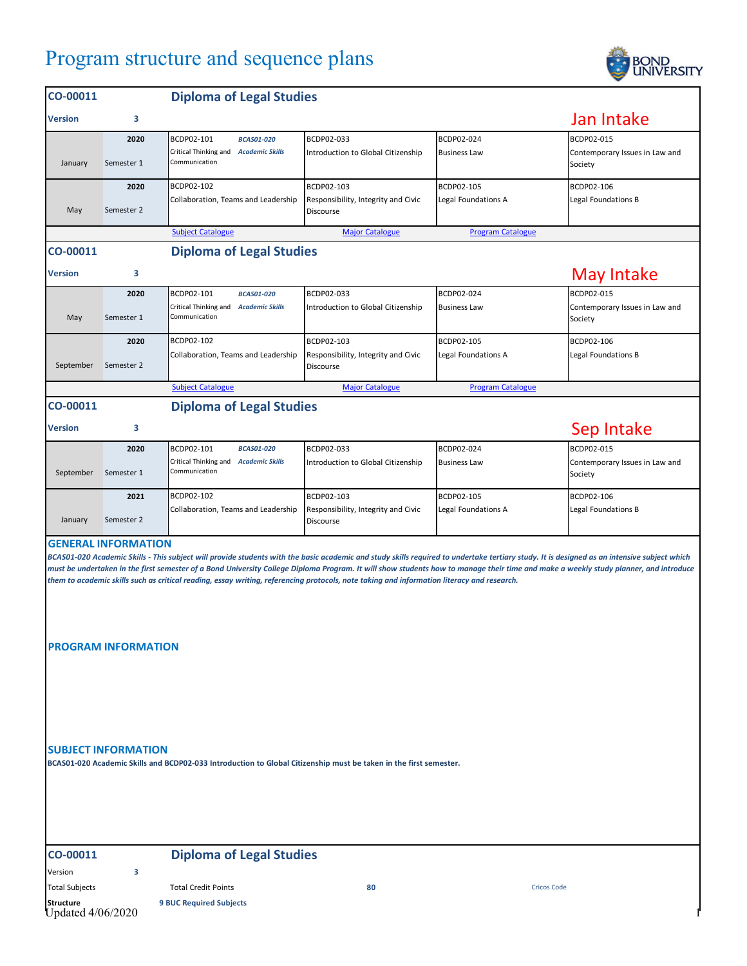## Program structure and sequence plans



| CO-00011                                                                                                                                                                                                                                                                                                                                                                                                                                                                                                                                                                                                                                                                                                                                         |            | <b>Diploma of Legal Studies</b>                        |                                                  |                          |                                           |  |  |
|--------------------------------------------------------------------------------------------------------------------------------------------------------------------------------------------------------------------------------------------------------------------------------------------------------------------------------------------------------------------------------------------------------------------------------------------------------------------------------------------------------------------------------------------------------------------------------------------------------------------------------------------------------------------------------------------------------------------------------------------------|------------|--------------------------------------------------------|--------------------------------------------------|--------------------------|-------------------------------------------|--|--|
| <b>Version</b>                                                                                                                                                                                                                                                                                                                                                                                                                                                                                                                                                                                                                                                                                                                                   | 3          |                                                        |                                                  |                          | Jan Intake                                |  |  |
|                                                                                                                                                                                                                                                                                                                                                                                                                                                                                                                                                                                                                                                                                                                                                  | 2020       | BCDP02-101<br><b>BCAS01-020</b>                        | BCDP02-033                                       | BCDP02-024               | BCDP02-015                                |  |  |
| January                                                                                                                                                                                                                                                                                                                                                                                                                                                                                                                                                                                                                                                                                                                                          | Semester 1 | Critical Thinking and Academic Skills<br>Communication | Introduction to Global Citizenship               | <b>Business Law</b>      | Contemporary Issues in Law and<br>Society |  |  |
|                                                                                                                                                                                                                                                                                                                                                                                                                                                                                                                                                                                                                                                                                                                                                  | 2020       | BCDP02-102                                             | BCDP02-103                                       | BCDP02-105               | BCDP02-106                                |  |  |
| May                                                                                                                                                                                                                                                                                                                                                                                                                                                                                                                                                                                                                                                                                                                                              | Semester 2 | Collaboration, Teams and Leadership                    | Responsibility, Integrity and Civic<br>Discourse | Legal Foundations A      | Legal Foundations B                       |  |  |
|                                                                                                                                                                                                                                                                                                                                                                                                                                                                                                                                                                                                                                                                                                                                                  |            | <b>Subject Catalogue</b>                               | <b>Major Catalogue</b>                           | <b>Program Catalogue</b> |                                           |  |  |
| CO-00011                                                                                                                                                                                                                                                                                                                                                                                                                                                                                                                                                                                                                                                                                                                                         |            | <b>Diploma of Legal Studies</b>                        |                                                  |                          |                                           |  |  |
| <b>Version</b>                                                                                                                                                                                                                                                                                                                                                                                                                                                                                                                                                                                                                                                                                                                                   | з          |                                                        |                                                  |                          | <b>May Intake</b>                         |  |  |
|                                                                                                                                                                                                                                                                                                                                                                                                                                                                                                                                                                                                                                                                                                                                                  | 2020       | BCDP02-101<br><b>BCAS01-020</b>                        | BCDP02-033                                       | BCDP02-024               | BCDP02-015                                |  |  |
| May                                                                                                                                                                                                                                                                                                                                                                                                                                                                                                                                                                                                                                                                                                                                              | Semester 1 | Critical Thinking and Academic Skills<br>Communication | Introduction to Global Citizenship               | <b>Business Law</b>      | Contemporary Issues in Law and<br>Society |  |  |
|                                                                                                                                                                                                                                                                                                                                                                                                                                                                                                                                                                                                                                                                                                                                                  | 2020       | BCDP02-102                                             | BCDP02-103                                       | BCDP02-105               | BCDP02-106                                |  |  |
| September                                                                                                                                                                                                                                                                                                                                                                                                                                                                                                                                                                                                                                                                                                                                        | Semester 2 | Collaboration, Teams and Leadership                    | Responsibility, Integrity and Civic<br>Discourse | Legal Foundations A      | Legal Foundations B                       |  |  |
|                                                                                                                                                                                                                                                                                                                                                                                                                                                                                                                                                                                                                                                                                                                                                  |            | <b>Subject Catalogue</b>                               | <b>Major Catalogue</b>                           | <b>Program Catalogue</b> |                                           |  |  |
| CO-00011                                                                                                                                                                                                                                                                                                                                                                                                                                                                                                                                                                                                                                                                                                                                         |            | <b>Diploma of Legal Studies</b>                        |                                                  |                          |                                           |  |  |
| <b>Version</b>                                                                                                                                                                                                                                                                                                                                                                                                                                                                                                                                                                                                                                                                                                                                   | 3          |                                                        |                                                  |                          | Sep Intake                                |  |  |
|                                                                                                                                                                                                                                                                                                                                                                                                                                                                                                                                                                                                                                                                                                                                                  | 2020       | BCDP02-101<br><b>BCAS01-020</b>                        | BCDP02-033                                       | BCDP02-024               | BCDP02-015                                |  |  |
| September                                                                                                                                                                                                                                                                                                                                                                                                                                                                                                                                                                                                                                                                                                                                        | Semester 1 | Critical Thinking and Academic Skills<br>Communication | Introduction to Global Citizenship               | <b>Business Law</b>      | Contemporary Issues in Law and<br>Society |  |  |
|                                                                                                                                                                                                                                                                                                                                                                                                                                                                                                                                                                                                                                                                                                                                                  | 2021       | BCDP02-102                                             | BCDP02-103                                       | BCDP02-105               | BCDP02-106                                |  |  |
| January                                                                                                                                                                                                                                                                                                                                                                                                                                                                                                                                                                                                                                                                                                                                          | Semester 2 | Collaboration, Teams and Leadership                    | Responsibility, Integrity and Civic<br>Discourse | Legal Foundations A      | Legal Foundations B                       |  |  |
| <b>GENERAL INFORMATION</b><br>BCAS01-020 Academic Skills - This subject will provide students with the basic academic and study skills required to undertake tertiary study. It is designed as an intensive subject which<br>must be undertaken in the first semester of a Bond University College Diploma Program. It will show students how to manage their time and make a weekly study planner, and introduce<br>them to academic skills such as critical reading, essay writing, referencing protocols, note taking and information literacy and research.<br><b>PROGRAM INFORMATION</b><br><b>SUBJECT INFORMATION</b><br>BCAS01-020 Academic Skills and BCDP02-033 Introduction to Global Citizenship must be taken in the first semester. |            |                                                        |                                                  |                          |                                           |  |  |
| CO-00011                                                                                                                                                                                                                                                                                                                                                                                                                                                                                                                                                                                                                                                                                                                                         |            | <b>Diploma of Legal Studies</b>                        |                                                  |                          |                                           |  |  |
| Version                                                                                                                                                                                                                                                                                                                                                                                                                                                                                                                                                                                                                                                                                                                                          | 3          |                                                        |                                                  |                          |                                           |  |  |
| <b>Total Subjects</b>                                                                                                                                                                                                                                                                                                                                                                                                                                                                                                                                                                                                                                                                                                                            |            | <b>Total Credit Points</b>                             | 80                                               | <b>Cricos Code</b>       |                                           |  |  |
| <b>Structure</b><br><b>9 BUC Required Subjects</b><br>Updated 4/06/2020                                                                                                                                                                                                                                                                                                                                                                                                                                                                                                                                                                                                                                                                          |            |                                                        |                                                  |                          |                                           |  |  |